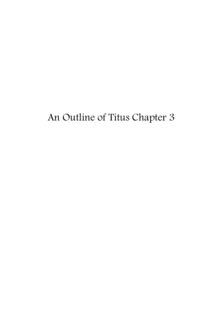# An Outline of Titus Chapter 3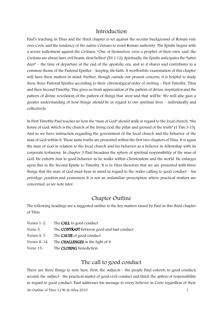#### Introduction

Paul's teaching in Titus and the third chapter is set against the secular background of Roman rule over Crete and the tendency of the native Cretians to resist Roman authority. The Epistle begins with a severe indictment against the Cretians. "One of themselves, even a prophet of their own, said, the Cretians are alway liars, evil beasts, slow bellies" (Tit 1:12). Spiritually, the Epistle anticipates the "latter days" – the time of departure at the end of the apostolic era, and so it shares and contributes to a common theme of the Pastoral Epistles – keeping *the* faith. A worthwhile examination of this chapter will have these matters in mind. Further, though outside our present concern, it is helpful to study these three Pastoral Epistles according to their *chronological* order of writing - First Timothy, Titus and then Second Timothy. This gives us fresh appreciation of the pattern of divine inspiration and the pattern of divine *revelation*; of the pattern of things that *were* and that *will* be. We will also gain a greater understanding of how things *should* be in regard to our spiritual lives – individually and collectively.

In First Timothy Paul teaches us how the "man of God" should walk in regard to the local church, "the house of God, which is the church of the living God, the pillar and ground of the truth" (1 Tim 3:15). And so we have instruction regarding the government of the local church and the behavior of the man of God within it. These same truths are presented within the first two chapters of Titus. It is again the man of God in relation to the local church and his behavior as a believer in fellowship with its corporate testimony. In chapter 3 Paul broadens the sphere of spiritual responsibility of the man of God. He exhorts him to good behavior as he walks within Christendom and the world. He enlarges upon this in the Second Epistle to Timothy. It is in Titus therefore that we are presented with three things that the man of God must bear in mind in regard to the wider calling to good conduct – his privilege, position and possession. It is not an unfamiliar prescription where practical matters are concerned, as we note later.

### Chapter Outline

The following headings are a suggested outline to the key matters raised by Paul in this third chapter of Titus.

| Verses $1-2$ .  | The <b>CALL</b> to good conduct           |
|-----------------|-------------------------------------------|
| Verse 3.        | The CONTRAST between good and bad conduct |
| Verses $4-7$ .  | The <b>CAUSE</b> of good conduct          |
| Verses $8-14$ . | The <b>CHALLENGES</b> in the light of it  |
|                 |                                           |

#### Verse 15: The CLOSING benediction

## The call to good conduct

An Outline of Titus 3 J W de Silva 2010 1 There are three things to note here. First, the *subjects* – the people Paul exhorts to good conduct; second, the *subject* – the practical matter of good civil conduct and third, the *sphere* of responsibility in regard to good conduct. Paul addresses his message to every believer in Crete regardless of their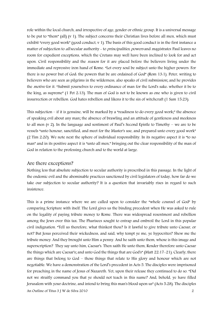role within the local church, and irrespective of age, gender or ethnic group. It is a universal message to be put to "them" (all) (v 1). The subject concerns their Christian lives before all men, which must exhibit "every good work" (good conduct, v 1). The basis of this good conduct is in the first instance a matter of subjection to all secular authority - to *principalities, powers* and *magistrates*. Paul leaves no room for expedient exceptions, which the Cretans may well have been inclined to look for and act upon. Civil responsibility and the *reason* for it are placed before the believers living under the immediate and repressive iron hand of Rome. "Let every soul be subject unto the higher powers. For there is no power but of God: the powers that be are ordained of God" (Rom 13:1). Peter, writing to believers who are seen as pilgrims in the wilderness, also speaks of civil submission; and he provides the *motive* for it. "Submit yourselves to every ordinance of man for the Lord's sake. whether it be to the king, as supreme" (1 Pet 2:13). The man of God is not to be known as one who is given to civil insurrection or rebellion. God hates rebellion and likens it to the sin of witchcraft (1 Sam 15:23).

This subjection – if it is genuine, will be marked by a "readiness to do every good work;" the absence of speaking evil about any man; the absence of brawling and an attitude of gentleness and meekness to all men (v 2). In the language and sentiment of Paul's Second Epistle to Timothy – we are to be vessels "unto honour, sanctified, and meet for the Master's use, and prepared unto every good work" (2 Tim 2:20). We note next the sphere of individual responsibility. In its negative aspect it is "to no man" and in its positive aspect it is "unto all men," bringing out the clear responsibility of the man of God in relation to the professing church and to the world at large.

#### Are there exceptions?

Nothing less that absolute subjection to secular authority is prescribed in this passage. In the light of the endemic evil and the abominable practices sanctioned by civil legislators of today, how far do we take our subjection to secular authority? It is a question that invariably rises in regard to such insistence.

An Outline of Titus 3 J W de Silva 2010 2 This is a prime instance where we are called upon to consider the "whole counsel of God" by comparing Scripture with itself. The Lord gives us the binding precedent when He was asked to rule on the legality of paying tribute money to Rome. There was widespread resentment and rebellion among the Jews over this tax. The Pharisees sought to entrap and embroil the Lord in this popular civil indignation. "Tell us therefore, what thinkest thou? Is it lawful to give tribute unto Caesar, or not? But Jesus perceived their wickedness, and said, why tempt ye me, ye hypocrites? Shew me the tribute money. And they brought unto Him a penny. And he saith unto them, whose is this image and superscription? They say unto him, Caesar's. Then saith He unto them, Render therefore unto Caesar the things which are Caesar's; and unto God the things that are God's" (Matt 22:17-21). Clearly, there are things that belong to God – those things that relate to His glory and honour which are not negotiable. We have a demonstration of the Lord's precedent in Acts 5. The disciples were imprisoned for preaching in the name of Jesus of Nazareth. Yet, upon their release they continued to do so. "Did not we straitly command you that ye should not teach in this name? And, behold, ye have filled Jerusalem with your doctrine, and intend to bring this man's blood upon us" (Acts 5:28). The disciples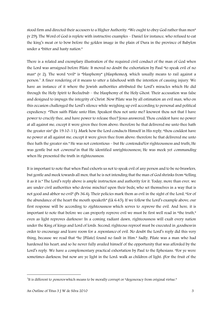stood firm and directed their accusers to a Higher Authority. "We ought to obey God rather than men" (v 29). The Word of God is replete with instructive examples – Daniel for instance, who refused to eat the king's meat or to bow before the golden image in the plain of Dura in the province of Babylon under a "bitter and hasty nation."

There is a related and exemplary illustration of the required civil conduct of the man of God when the Lord was arraigned before Pilate. It moved no doubt the exhortation by Paul "to speak evil of no man" (v 2). The word "evil" is "blasphemy" (*blasphemeo*), which usually means to rail against a person.<sup>1</sup> A finer rendering of it means to utter a falsehood with the intention of causing injury. We have an instance of it where the Jewish authorities attributed the Lord's miracles which He did through the Holy Spirit to Beelzebub – the blasphemy of the Holy Ghost. Their accusation was false and designed to impugn the integrity of Christ. Now Pilate was by all estimation an evil man, who on this occasion challenged the Lord's silence while weighing up evil according to personal and political expediency. "Then saith Pilate unto Him, Speakest thou not unto me? knowest thou not that I have power to crucify thee, and have power to release thee? Jesus answered, Thou couldest have no power at all against me, except it were given thee from above: therefore he that delivered me unto thee hath the greater sin" (Jn 19:10-11). Mark how the Lord conducts Himself in His reply, "thou couldest have no power at all against me, except it were given thee from above: therefore he that delivered me unto thee hath the greater sin." He was not contentious – but He *contended* for righteousness and truth; He was gentle but not *cowered* in that He identified unrighteousness; He was meek yet *commanding* when He presented the truth in righteousness.

It is important to note that when Paul exhorts us not to speak evil of any person and to be no brawlers, but gentle and meek towards all men, that he is not intending that the man of God shrinks from "telling it as it is." The Lord's reply above is ample instruction and authority for it. Today, more than ever, we are under civil authorities who devise mischief upon their beds; who set themselves in a way that is not good and abhor no evil" (Ps 36:4). Their policies mark them as evil in the sight of the Lord, "for of the abundance of the heart the mouth speaketh" (Lk 6:45). If we follow the Lord's example above, our first response will be according to *righteousness* which serves to *reprove* the evil. And here, it is important to note that before we can properly reprove evil we must be first well read in "the truth," even as light reproves darkness! In a coming radiant dawn, righteousness will exalt every nation under the King of kings and Lord of lords. Second, righteous reproof must be executed in *goodness* in order to encourage and leave room for a *repentance* of evil. No doubt the Lord's reply did this very thing, because we read that "he [Pilate] found no fault in Him." Sadly, Pilate was a man who had hardened his heart, and so he never fully availed himself of the opportunity that was afforded by the Lord's reply. We have a complementary practical exhortation by Paul to the Ephesians. "For ye were sometimes darkness, but now are ye light in the Lord: walk as children of light: (For the fruit of the

1

<sup>&</sup>lt;sup>1</sup>It is different to *poneros* which means to be morally corrupt or "degeneracy from original virtue."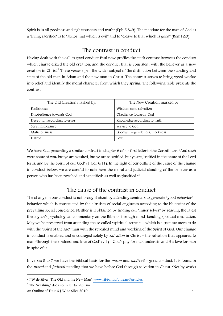Spirit is in all goodness and righteousness and truth" (Eph 5:8-9). The mandate for the man of God as a "living sacrifice" is to "abhor that which is evil" and to "cleave to that which is good" (Rom12:9).

## The contrast in conduct

Having dealt with the call to good conduct Paul now profiles the stark contrast between the conduct which characterized the old creation, and the conduct that is consistent with the believer as a new creation in Christ.<sup>2</sup> These verses open the wider subject of the distinction between the standing and state of the old man in Adam and the new man in Christ. The contrast serves to bring "good works" into relief and identify the moral character from which they spring. The following table presents the contrast.

| The Old Creation marked by.  | The New Creation marked by.     |
|------------------------------|---------------------------------|
| Foolishness                  | Wisdom unto salvation           |
| Disobedience towards God     | Obedience towards God           |
| Deception according to error | Knowledge according to truth    |
| Serving pleasure             | Service to God                  |
| Maliciousness                | Goodwill – gentleness, meekness |
| Hatred                       | Love                            |

We have Paul presenting a similar contrast in chapter 6 of his first letter to the Corinthians. "And such were some of you: but ye are washed, but ye are sanctified, but ye are justified in the name of the Lord Jesus, and by the Spirit of our God" (1 Cor 6:11). In the light of our outline of the cause of the change in conduct below, we are careful to note here the moral and judicial standing of the believer as a person who has been "washed and sanctified" as well as "justified."<sup>3</sup>

## The cause of the contrast in conduct

The change in our conduct is not brought about by attending seminars to generate "good behavior" – behavior which is constructed by the altruism of social engineers according to the blueprint of the prevailing social conscience. Neither is it obtained by finding our "inner selves" by reading the latest theologian's psychological commentary on the Bible or through mind-bending spiritual meditation. May we be preserved from attending the so called "spiritual retreat" – which is a pastime more to do with the "spirit of the age" than with the revealed mind and working of the Spirit of God. Our change in conduct is enabled and encouraged solely by salvation in Christ – the salvation that appeared to man "through the kindness and love of God" (v 4) – God's pity for man under sin and His love for man in spite of it.

In verses 5 to 7 we have the biblical basis for the *means* and *motive* for good conduct. It is found in the *moral* and *judicial* standing that we have before God through salvation in Christ. "Not by works

1

<sup>2</sup> J W de Silva, "The Old and the New Man" [www.ribbandofblue.net/Articles/](http://www.ribbandofblue.net/Articles/) 

<sup>&</sup>lt;sup>3</sup> The "washing" does not refer to baptism.

An Outline of Titus 3 J W de Silva 2010 4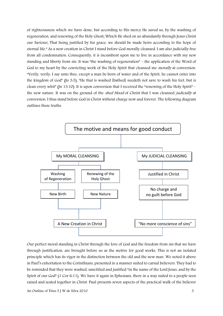of righteousness which we have done, but according to His mercy He saved us, by the washing of regeneration, and renewing of the Holy Ghost; Which He shed on us abundantly through Jesus Christ our Saviour; That being justified by his grace, we should be made heirs according to the hope of eternal life." As a new creation in Christ I stand before God morally cleansed. I am also judicially free from all condemnation. Consequently, it is incumbent upon me to live in accordance with my new standing and liberty from sin. It was "the washing of regeneration" – the application of the Word of God to my heart by the convicting work of the Holy Spirit that cleansed me *morally* at conversion. "Verily, verily, I say unto thee, except a man be born of water and of the Spirit, he cannot enter into the kingdom of God" (Jn 3:5). "He that is washed [bathed] needeth not save to wash his feet, but is clean every whit" (Jn 13:10). It is upon conversion that I received the "renewing of the Holy Spirit" – the new nature. It was on the ground of the *shed blood* of Christ that I was cleansed *judicially* at conversion. I thus stand before God in Christ without charge now and forever. The following diagram outlines these truths.



Our perfect moral standing in Christ through the love of God and the freedom from sin that we have through justification, are brought before us as the motive for good works. This is not an isolated principle which has its vigor in the distinction between the old and the new man. We noted it above in Paul's exhortation to the Corinthians, presented in a manner suited to carnal believers. They had to be reminded that they were washed, sanctified and justified "in the name of the Lord Jesus, and by the Spirit of our God" (1 Cor 6.11). We have it again in Ephesians, there in a way suited to a people seen raised and seated together in Christ. Paul presents seven aspects of the practical walk of the believer

An Outline of Titus 3 J W de Silva 2010 5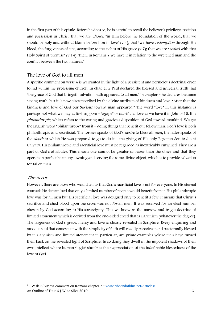in the first part of this epistle. Before he does so, he is careful to recall the believer's privilege, position and possession in Christ: that we are chosen "in Him before the foundation of the world; that we should be holy and without blame before him in love"  $(v_4)$ ; that "we have *redemption* through His blood, the forgiveness of sins, according to the riches of His grace (v 7); that we are "sealed with that Holy Spirit of promise" (v 14). Then, in Romans 7 we have it in relation to the wretched man and the conflict between the two natures.<sup>4</sup>

#### The love of God to all men

A specific comment on verse 4 is warranted in the light of a persistent and pernicious doctrinal error found within the professing church. In chapter 2 Paul declared the blessed and universal truth that "the grace of God that bringeth salvation hath appeared to all men." In chapter 3 he declares the same saving truth, but it is now circumscribed by the divine attribute of kindness and love. "After that the kindness and love of God our Saviour toward man appeared." The word "love" in this instance is perhaps not what we may at first suppose – "agape" or sacrificial love as we have it in John 3:16. It is philanthropia, which refers to the caring and gracious disposition of God toward mankind. We get the English word "philanthropy" from it – doing things that benefit our fellow man. God's love is both philanthropic and sacrificial. The former speaks of God's desire to bless all men; the latter speaks of the depth to which He was prepared to go to do it – the giving of His only Begotten Son to die at Calvary. His philanthropic and sacrificial love must be regarded as inextricably entwined. They are a part of God's attributes. This means one cannot be greater or lesser than the other and that they operate in perfect harmony, owning and serving the same divine object, which is to provide salvation for fallen man.

#### The error

<u>.</u>

However, there are those who would tell us that God's sacrificial love is not for everyone. In His eternal counsels He determined that only a limited number of people would benefit from it. His philanthropic love was for all men but His sacrificial love was designed only to benefit a few. It means that Christ's sacrifice and shed blood upon the cross was not *for* all men. It was reserved for an elect number chosen by God according to His sovereignty. This we know as the narrow and tragic doctrine of limited atonement which is derived from the one-sided creed that is Calvinism (whatever the degree). The largeness of God's grace, mercy and love is clearly revealed in Scripture. Every enquiring and anxious soul that comes to it with the simplicity of faith will readily perceive it and be eternally blessed by it. Calvinism and limited atonement in particular, are prime examples where men have turned their back on the revealed light of Scripture. In so doing they dwell in the impotent shadows of their own intellect where human "logic" stumbles their appreciation of the indefinable blessedness of the love of God.

An Outline of Titus 3 J W de Silva 2010 6 <sup>4</sup> J W de Silva: "A comment on Romans chapter 7." www.ribbandofblue.net/Articles/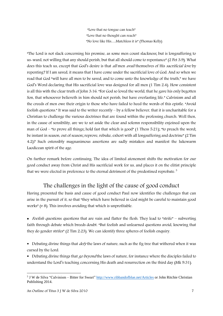"Love that no tongue can teach" "Love that no thought can reach" "No love like His….Matchless it is" (Thomas Kelly)

"The Lord is not slack concerning his promise, as some men count slackness; but is longsuffering to us-ward, not willing that any should perish, but that all should come to repentance" (2 Pet 3:9). What does this teach us, except that God's desire is that *all* men *avail* themselves of His *sacrificial love* by repenting? If I am saved, it means that I have come under the sacrificial love of God. And so when we read that God "will have all men to be saved, and to come unto the knowledge of the truth," we have God's Word declaring that His sacrificial love was designed for all men (1 Tim 2:4). How consistent is all this with the clear truth of John 3:16. "For God so loved the world, that he gave his only begotten Son, that whosoever believeth in him should not perish, but have everlasting life." Calvinism and all the creeds of men owe their origin to those who have failed to heed the words of this epistle. "Avoid foolish questions." It was said to the writer recently – by a fellow believer, that it is uncharitable for a Christian to challenge the various doctrines that are found within the professing church. Well then, in the cause of sensibility, are we to set aside the clear and solemn responsibility enjoined upon the man of God – "to prove all things; hold fast that which is good" (1 Thess 5:21); "to preach the word; be instant in season, out of season; reprove, rebuke, exhort with all longsuffering and doctrine" (2 Tim 4:2)? Such ostensibly magnanimous assertions are sadly mistaken and manifest the lukewarm Laodicean spirit of the age.

On further remark before continuing. The idea of limited atonement shifts the motivation for our good conduct away from Christ and His sacrificial work for us, and places it on the elitist principle that we were elected in preference to the eternal detriment of the predestined reprobate. 5

# The challenges in the light of the cause of good conduct

Having presented the basis and cause of good conduct Paul now identifies the challenges that can arise in the pursuit of it, so that "they which have believed in God might be careful to maintain good works" (v 8). This involves avoiding that which is unprofitable.

• Foolish questions: questions that are vain and flatter the flesh. They lead to "strife" – subverting faith through debate which breeds doubt. "But foolish and unlearned questions avoid, knowing that they do gender strifes" (2 Tim 2:23). We can identify three spheres of foolish enquiry.

Debating divine things that  $\text{def}$  the laws of nature, such as the fig tree that withered when it was cursed by the Lord.

Debating divine things that *go beyond* the laws of nature, for instance where the disciples failed to understand the Lord's teaching concerning His death and resurrection on the third day (Mk 9:31).

<sup>&</sup>lt;u>.</u> <sup>5</sup> J W de Silva "Calvinism – Bitter for Sweet"<http://www.ribbandofblue.net/>Articles or John Ritchie Christian Publishing 2014.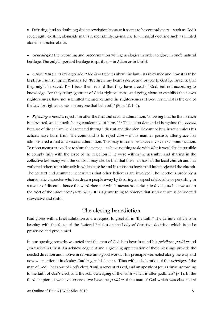Debating (and so doubting) divine revelation because it seems to be contradictory – such as God's sovereignty existing alongside man's responsibility, giving rise to wrongful doctrine such as limited atonement noted above.

• Genealogies: the recording and preoccupation with genealogies in order to glory in one's natural heritage. The only important heritage is spiritual – in Adam or in Christ.

• Contentions, and strivings about the law: Debates about the law – its relevance and how it is to be kept. Paul sums it up in Romans 10. "Brethren, my heart's desire and prayer to God for Israel is, that they might be saved. For I bear them record that they have a zeal of God, but not according to knowledge. For they being ignorant of God's righteousness, and going about to establish their own righteousness, have not submitted themselves unto the righteousness of God. For Christ is the end of the law for righteousness to everyone that believeth" (Rom 10:1-4).

• Rejecting a heretic: reject him after the first and second admonition, "knowing that he that is such is subverted, and sinneth, being condemned of himself." The action demanded is against the *person* because of the schism he has created through dissent and disorder. He cannot be a heretic unless his actions have born fruit. The command is to reject  $him - if$  his manner persists, after grace has administered a first and second admonition. This may in some instances involve excommunication. To reject means to avoid or to shun the person – to have nothing to do with *him*. It would be impossible to comply fully with the force of the rejection if he were within the assembly and sharing in the collective testimony with the saints. It may also be that that this man has left the local church and has gathered others unto himself; in which case he and his consorts have to all intent rejected the church. The context and grammar necessitates that other believers are involved. The heretic is probably a charismatic character who has drawn people away by favoring an aspect of doctrine or persisting in a matter of dissent – hence the word "heretic" which means "sectarian," to divide, such as we see in the "sect of the Sadducees" (Acts 5:17). It is a grave thing to observe that sectarianism is considered subversive and sinful.

## The closing benediction

Paul closes with a brief salutation and a request to greet all in "the faith." The definite article is in keeping with the focus of the Pastoral Epistles on the body of Christian doctrine, which is to be preserved and proclaimed.

In our opening remarks we noted that the man of God is to bear in mind his *privilege, position* and possession in Christ. An acknowledgment and a growing appreciation of these blessings provide the needed direction and motive in service unto good works. This principle was noted along the way and now we mention it in closing. Paul begins his letter to Titus with a declaration of the *privilege* of the man of God – he is one of God's elect. "Paul, a servant of God, and an apostle of Jesus Christ, according to the faith of God's elect, and the acknowledging of the truth which is after godliness" (v 1). In the third chapter, as we have observed we have the *position* of the man of God which was obtained at